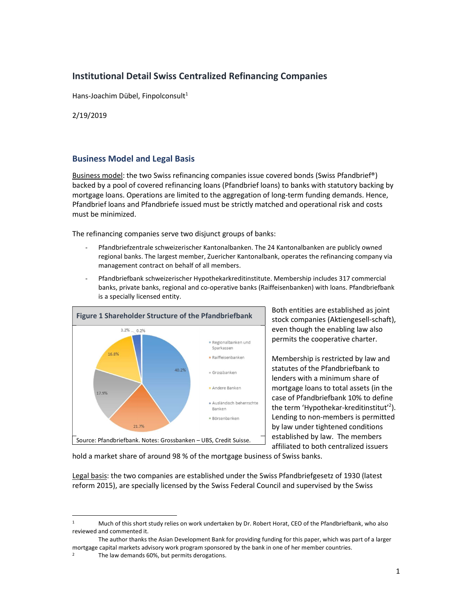# Institutional Detail Swiss Centralized Refinancing Companies

Hans-Joachim Dübel, Finpolconsult<sup>1</sup>

2/19/2019

### Business Model and Legal Basis

Business model: the two Swiss refinancing companies issue covered bonds (Swiss Pfandbrief®) backed by a pool of covered refinancing loans (Pfandbrief loans) to banks with statutory backing by mortgage loans. Operations are limited to the aggregation of long-term funding demands. Hence, Pfandbrief loans and Pfandbriefe issued must be strictly matched and operational risk and costs must be minimized.

The refinancing companies serve two disjunct groups of banks:

- Pfandbriefzentrale schweizerischer Kantonalbanken. The 24 Kantonalbanken are publicly owned regional banks. The largest member, Zuericher Kantonalbank, operates the refinancing company via management contract on behalf of all members.
- Pfandbriefbank schweizerischer Hypothekarkreditinstitute. Membership includes 317 commercial banks, private banks, regional and co-operative banks (Raiffeisenbanken) with loans. Pfandbriefbank is a specially licensed entity.



Both entities are established as joint stock companies (Aktiengesell-schaft), even though the enabling law also permits the cooperative charter.

Membership is restricted by law and statutes of the Pfandbriefbank to lenders with a minimum share of mortgage loans to total assets (in the case of Pfandbriefbank 10% to define the term 'Hypothekar-kreditinstitut'<sup>2</sup>). Lending to non-members is permitted by law under tightened conditions established by law. The members affiliated to both centralized issuers

hold a market share of around 98 % of the mortgage business of Swiss banks.

Legal basis: the two companies are established under the Swiss Pfandbriefgesetz of 1930 (latest reform 2015), are specially licensed by the Swiss Federal Council and supervised by the Swiss

<sup>1</sup>Much of this short study relies on work undertaken by Dr. Robert Horat, CEO of the Pfandbriefbank, who also reviewed and commented it.

The author thanks the Asian Development Bank for providing funding for this paper, which was part of a larger mortgage capital markets advisory work program sponsored by the bank in one of her member countries.

<sup>2</sup> The law demands 60%, but permits derogations.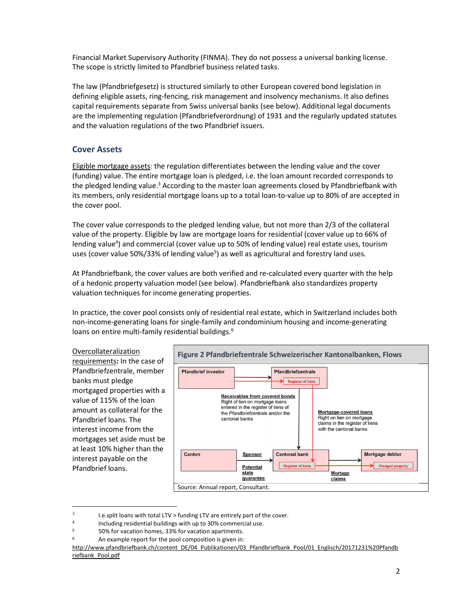Financial Market Supervisory Authority (FINMA). They do not possess a universal banking license. The scope is strictly limited to Pfandbrief business related tasks.

The law (Pfandbriefgesetz) is structured similarly to other European covered bond legislation in defining eligible assets, ring-fencing, risk management and insolvency mechanisms. It also defines capital requirements separate from Swiss universal banks (see below). Additional legal documents are the implementing regulation (Pfandbriefverordnung) of 1931 and the regularly updated statutes and the valuation regulations of the two Pfandbrief issuers.

#### Cover Assets

Eligible mortgage assets: the regulation differentiates between the lending value and the cover (funding) value. The entire mortgage loan is pledged, i.e. the loan amount recorded corresponds to the pledged lending value.<sup>3</sup> According to the master loan agreements closed by Pfandbriefbank with its members, only residential mortgage loans up to a total loan-to-value up to 80% of are accepted in the cover pool.

The cover value corresponds to the pledged lending value, but not more than 2/3 of the collateral value of the property. Eligible by law are mortgage loans for residential (cover value up to 66% of lending value<sup>4</sup>) and commercial (cover value up to 50% of lending value) real estate uses, tourism uses (cover value 50%/33% of lending value<sup>5</sup>) as well as agricultural and forestry land uses.

At Pfandbriefbank, the cover values are both verified and re-calculated every quarter with the help of a hedonic property valuation model (see below). Pfandbriefbank also standardizes property valuation techniques for income generating properties.

In practice, the cover pool consists only of residential real estate, which in Switzerland includes both non-income-generating loans for single-family and condominium housing and income-generating loans on entire multi-family residential buildings.<sup>6</sup>

#### Overcollateralization

requirements: In the case of Pfandbriefzentrale, member banks must pledge mortgaged properties with a value of 115% of the loan amount as collateral for the Pfandbrief loans. The interest income from the mortgages set aside must be at least 10% higher than the interest payable on the Pfandbrief loans.



<sup>3</sup> I.e.split loans with total LTV > funding LTV are entirely part of the cover.

<sup>4</sup> Including residential buildings with up to 30% commercial use.

<sup>5</sup> 50% for vacation homes, 33% for vacation apartments.

<sup>6</sup> An example report for the pool composition is given in:

http://www.pfandbriefbank.ch/content\_DE/04\_Publikationen/03\_Pfandbriefbank\_Pool/01\_Englisch/20171231%20Pfandb riefbank\_Pool.pdf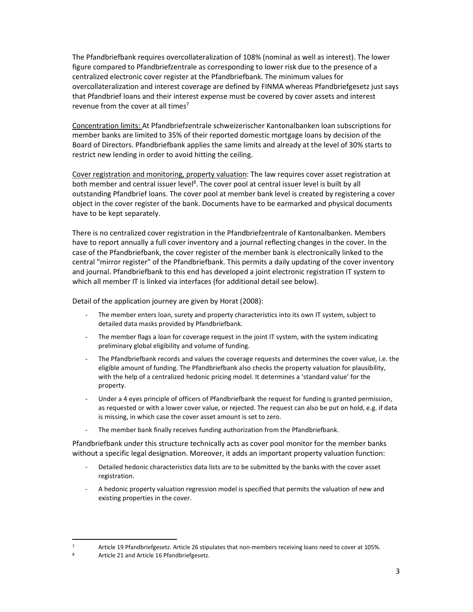The Pfandbriefbank requires overcollateralization of 108% (nominal as well as interest). The lower figure compared to Pfandbriefzentrale as corresponding to lower risk due to the presence of a centralized electronic cover register at the Pfandbriefbank. The minimum values for overcollateralization and interest coverage are defined by FINMA whereas Pfandbriefgesetz just says that Pfandbrief loans and their interest expense must be covered by cover assets and interest revenue from the cover at all times<sup>7</sup>

Concentration limits: At Pfandbriefzentrale schweizerischer Kantonalbanken loan subscriptions for member banks are limited to 35% of their reported domestic mortgage loans by decision of the Board of Directors. Pfandbriefbank applies the same limits and already at the level of 30% starts to restrict new lending in order to avoid hitting the ceiling.

Cover registration and monitoring, property valuation: The law requires cover asset registration at both member and central issuer level<sup>8</sup>. The cover pool at central issuer level is built by all outstanding Pfandbrief loans. The cover pool at member bank level is created by registering a cover object in the cover register of the bank. Documents have to be earmarked and physical documents have to be kept separately.

There is no centralized cover registration in the Pfandbriefzentrale of Kantonalbanken. Members have to report annually a full cover inventory and a journal reflecting changes in the cover. In the case of the Pfandbriefbank, the cover register of the member bank is electronically linked to the central "mirror register" of the Pfandbriefbank. This permits a daily updating of the cover inventory and journal. Pfandbriefbank to this end has developed a joint electronic registration IT system to which all member IT is linked via interfaces (for additional detail see below).

Detail of the application journey are given by Horat (2008):

- The member enters loan, surety and property characteristics into its own IT system, subject to detailed data masks provided by Pfandbriefbank.
- The member flags a loan for coverage request in the joint IT system, with the system indicating preliminary global eligibility and volume of funding.
- The Pfandbriefbank records and values the coverage requests and determines the cover value, i.e. the eligible amount of funding. The Pfandbriefbank also checks the property valuation for plausibility, with the help of a centralized hedonic pricing model. It determines a 'standard value' for the property.
- Under a 4 eyes principle of officers of Pfandbriefbank the request for funding is granted permission, as requested or with a lower cover value, or rejected. The request can also be put on hold, e.g. if data is missing, in which case the cover asset amount is set to zero.
- The member bank finally receives funding authorization from the Pfandbriefbank.

Pfandbriefbank under this structure technically acts as cover pool monitor for the member banks without a specific legal designation. Moreover, it adds an important property valuation function:

- Detailed hedonic characteristics data lists are to be submitted by the banks with the cover asset registration.
- A hedonic property valuation regression model is specified that permits the valuation of new and existing properties in the cover.

<sup>7</sup> Article 19 Pfandbriefgesetz. Article 26 stipulates that non-members receiving loans need to cover at 105%.

<sup>8</sup> Article 21 and Article 16 Pfandbriefgesetz.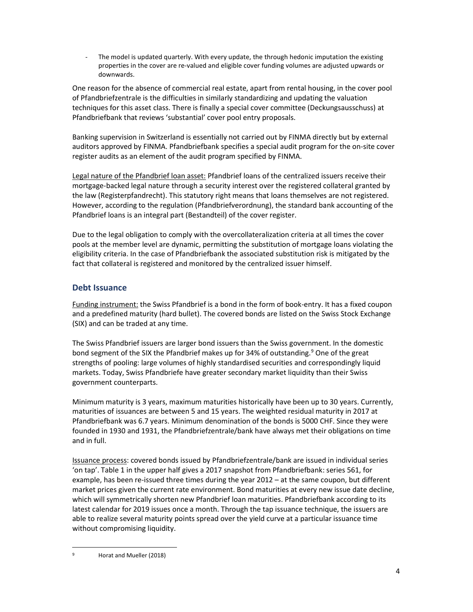The model is updated quarterly. With every update, the through hedonic imputation the existing properties in the cover are re-valued and eligible cover funding volumes are adjusted upwards or downwards.

One reason for the absence of commercial real estate, apart from rental housing, in the cover pool of Pfandbriefzentrale is the difficulties in similarly standardizing and updating the valuation techniques for this asset class. There is finally a special cover committee (Deckungsausschuss) at Pfandbriefbank that reviews 'substantial' cover pool entry proposals.

Banking supervision in Switzerland is essentially not carried out by FINMA directly but by external auditors approved by FINMA. Pfandbriefbank specifies a special audit program for the on-site cover register audits as an element of the audit program specified by FINMA.

Legal nature of the Pfandbrief loan asset: Pfandbrief loans of the centralized issuers receive their mortgage-backed legal nature through a security interest over the registered collateral granted by the law (Registerpfandrecht). This statutory right means that loans themselves are not registered. However, according to the regulation (Pfandbriefverordnung), the standard bank accounting of the Pfandbrief loans is an integral part (Bestandteil) of the cover register.

Due to the legal obligation to comply with the overcollateralization criteria at all times the cover pools at the member level are dynamic, permitting the substitution of mortgage loans violating the eligibility criteria. In the case of Pfandbriefbank the associated substitution risk is mitigated by the fact that collateral is registered and monitored by the centralized issuer himself.

## Debt Issuance

Funding instrument: the Swiss Pfandbrief is a bond in the form of book-entry. It has a fixed coupon and a predefined maturity (hard bullet). The covered bonds are listed on the Swiss Stock Exchange (SIX) and can be traded at any time.

The Swiss Pfandbrief issuers are larger bond issuers than the Swiss government. In the domestic bond segment of the SIX the Pfandbrief makes up for 34% of outstanding.<sup>9</sup> One of the great strengths of pooling: large volumes of highly standardised securities and correspondingly liquid markets. Today, Swiss Pfandbriefe have greater secondary market liquidity than their Swiss government counterparts.

Minimum maturity is 3 years, maximum maturities historically have been up to 30 years. Currently, maturities of issuances are between 5 and 15 years. The weighted residual maturity in 2017 at Pfandbriefbank was 6.7 years. Minimum denomination of the bonds is 5000 CHF. Since they were founded in 1930 and 1931, the Pfandbriefzentrale/bank have always met their obligations on time and in full.

Issuance process: covered bonds issued by Pfandbriefzentrale/bank are issued in individual series 'on tap'. Table 1 in the upper half gives a 2017 snapshot from Pfandbriefbank: series 561, for example, has been re-issued three times during the year 2012 – at the same coupon, but different market prices given the current rate environment. Bond maturities at every new issue date decline, which will symmetrically shorten new Pfandbrief loan maturities. Pfandbriefbank according to its latest calendar for 2019 issues once a month. Through the tap issuance technique, the issuers are able to realize several maturity points spread over the yield curve at a particular issuance time without compromising liquidity.

<sup>9</sup> Horat and Mueller (2018)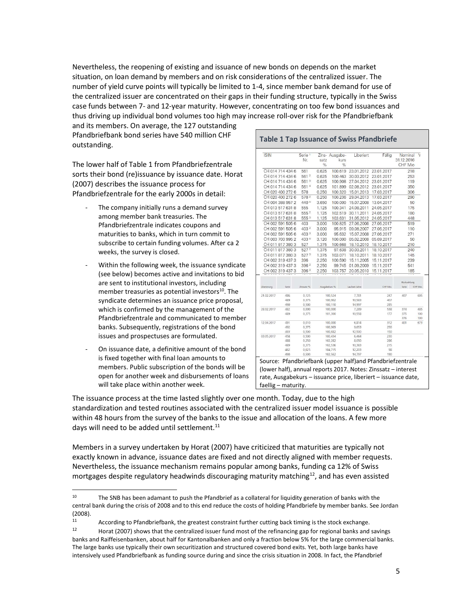Nevertheless, the reopening of existing and issuance of new bonds on depends on the market situation, on loan demand by members and on risk considerations of the centralized issuer. The number of yield curve points will typically be limited to 1-4, since member bank demand for use of the centralized issuer are concentrated on their gaps in their funding structure, typically in the Swiss case funds between 7- and 12-year maturity. However, concentrating on too few bond issuances and thus driving up individual bond volumes too high may increase roll-over risk for the Pfandbriefbank

and its members. On average, the 127 outstanding Pfandbriefbank bond series have 540 million CHF outstanding.

The lower half of Table 1 from Pfandbriefzentrale sorts their bond (re)issuance by issuance date. Horat (2007) describes the issuance process for Pfandbriefzentrale for the early 2000s in detail:

- The company initially runs a demand survey among member bank treasuries. The Pfandbriefzentrale indicates coupons and maturities to banks, which in turn commit to subscribe to certain funding volumes. After ca 2 weeks, the survey is closed.
- Within the following week, the issuance syndicate (see below) becomes active and invitations to bid are sent to institutional investors, including member treasuries as potential investors $^{10}$ . The syndicate determines an issuance price proposal, which is confirmed by the management of the Pfandbriefzentrale and communicated to member banks. Subsequently, registrations of the bond issues and prospectuses are formulated.
- On issuance date, a definitive amount of the bond is fixed together with final loan amounts to members. Public subscription of the bonds will be open for another week and disbursements of loans will take place within another week.

| <b>ISIN</b>          | Serie <sup>1</sup><br>Nr. | satz<br>$\%$   | Zins- Ausgabe-<br>kurs<br>$\frac{9}{6}$ | Liberiert        | Fällig       | Nominal<br>31.12.2016<br>CHF Mio | V          |
|----------------------|---------------------------|----------------|-----------------------------------------|------------------|--------------|----------------------------------|------------|
| CH 014 714 434 6     | 561                       | 0.625          | 100.619                                 | 23.01.2012       | 23.01.2017   | 218                              |            |
| CH 014 714 434 6     | 561 <sup>2</sup>          | 0.625          | 100.463                                 | 30.03.2012       | 23.01.2017   | 253                              |            |
| CH 014 714 434 6     | 561 <sup>3</sup>          | 0.625          | 100.908                                 | 27.04.2012       | 23.01.2017   | 119                              |            |
| CH 014 714 434 6     | 561 <sup>4</sup>          | 0.625          | 101.899                                 | 02.08.2012       | 23.01.2017   | 350                              |            |
| CH 020 400 272 6     | 578                       | 0.250          | 100.320                                 | 15.01.2013       | 17.03.2017   | 306                              |            |
| CH 020 400 272 6     | 5782                      | 0.250          | 100.236                                 | 29.04.2013       | 17.03.2017   | 290                              |            |
| CH 004 388 957 2     | 440 6                     | 3.650          | 100.000                                 | 15.07.2008       | 13.04.2017   |                                  | 50         |
| CH 013 517 631 8     | 555                       | 1.125          | 100.341                                 | 24.08.2011       | 24.05.2017   | 175                              |            |
| CH 013 517 631 8     | 5552                      | 1.125          | 102.519                                 | 30.11.2011       | 24.05.2017   | 180                              |            |
| CH 013 517 631 8     | 555 3                     | 1.125          | 103.631                                 | 31.05.2012       | 24.05.2017   | 448                              |            |
| CH 002 591 505 6     | 403                       | 3.000          | 100.825                                 | 27.06.2006       | 27.06.2017   | 519                              |            |
| CH 002 591 505 6     | 403 <sup>2</sup>          | 3.000          | 95.915                                  | 09.08.2007       | 27.06.2017   | 110                              |            |
| CH 002 591 505 6     | 403 <sup>3</sup>          | 3.000          | 95.632                                  | 15.07.2008       | 27.06.2017   | 271                              |            |
| CH 003 703 995 2     | 4336                      | 3.120          | 100,000                                 | 05.02.2008       | 05.09.2017   |                                  | 50         |
| CH 011 817 380 3     | 527                       | 1.375          | 100.668                                 | 18.10.2010       | 18.10.2017   | 210                              |            |
| CH 011 817 380 3     | 5272                      | 1.375          | 97.638                                  | 30.03.2011       | 18.10.2017   | 240                              |            |
| CH 011 817 380 3     | 527 <sup>3</sup>          |                | 103.071                                 | 18.10.2011       |              |                                  |            |
| CH 002 319 437 3     | 396                       | 1.375<br>2.250 | 100.590                                 | 15.11.2005       | 18.10.2017   | 145<br>239                       |            |
|                      |                           |                |                                         |                  | 15, 11, 2017 |                                  |            |
| CH 002 319 437 3     | 396 <sup>2</sup>          | 2.250          | 99.745                                  | 01.09.2009       | 15.11.2017   | 541                              |            |
| CH 002 319 437 3     | 396 <sup>3</sup>          | 2.250          | 103.757                                 | 20.05.2010       | 15.11.2017   | 185                              |            |
|                      |                           |                |                                         |                  |              | Rückzahlung                      |            |
| Liberierung<br>Serie | Zinssatz %                |                | Ausgabekurs %                           | Laufzeit Jahre   | CHF Mio.     | Serie                            | CHF Mio.   |
| 486<br>21.02.2017    | 0.125                     |                | 100,524                                 | 7,781            | 247          | 407                              | 605        |
| 489                  | 0,375                     |                | 100,902                                 | 10,583           | 407          |                                  |            |
| 490                  | 0,500                     |                | 100,110                                 | 14,997           | 285          |                                  |            |
| 28.02.2017<br>482    | 0,000                     |                | 100,000                                 | 7,289            | 538          | 374                              | 485        |
| 489                  | 0,375                     |                | 101,300                                 | 10,558           | 177          | 375                              | 100        |
| 12.04.2017<br>491    | 0,010                     |                | 100,000                                 | 6,814            | 312          | 376<br>401                       | 100<br>673 |
| 492                  | 0,375                     |                | 100,969                                 | 9,653            | 250          |                                  |            |
| 493                  | 0,500                     |                | 100,682                                 | 12,500           | 150          |                                  |            |
| 03.05.2017<br>458    | 0,500                     |                | 100,434                                 | 6.464            | 230          |                                  |            |
| 488                  | 0,250                     |                | 102,282                                 | 8,050            | 286          |                                  |            |
| 489                  | 0,375                     |                | 102,536                                 | 10,383           | 215          |                                  |            |
| 462<br>490           | 0,625<br>0,500            |                | 104,715<br>102,562                      | 12,203<br>14,797 | 98<br>190    |                                  |            |

(lower half), annual reports 2017. Notes: Zinssatz – interest rate, Ausgabekurs – issuance price, liberiert – issuance date, faellig – maturity.

The issuance process at the time lasted slightly over one month. Today, due to the high standardization and tested routines associated with the centralized issuer model issuance is possible within 48 hours from the survey of the banks to the issue and allocation of the loans. A few more days will need to be added until settlement. $^{11}$ 

Members in a survey undertaken by Horat (2007) have criticized that maturities are typically not exactly known in advance, issuance dates are fixed and not directly aligned with member requests. Nevertheless, the issuance mechanism remains popular among banks, funding ca 12% of Swiss mortgages despite regulatory headwinds discouraging maturity matching $^{12}$ , and has even assisted

11 According to Pfandbriefbank, the greatest constraint further cutting back timing is the stock exchange.<br>12 **12 11** Part (2007) shows that the controlling issues fund meet of the refinencies can for regional banks and

<sup>10</sup> The SNB has been adamant to push the Pfandbrief as a collateral for liquidity generation of banks with the central bank during the crisis of 2008 and to this end reduce the costs of holding Pfandbriefe by member banks. See Jordan (2008).

Horat (2007) shows that the centralized issuer fund most of the refinancing gap for regional banks and savings banks and Raiffeisenbanken, about half for Kantonalbanken and only a fraction below 5% for the large commercial banks. The large banks use typically their own securitization and structured covered bond exits. Yet, both large banks have intensively used Pfandbriefbank as funding source during and since the crisis situation in 2008. In fact, the Pfandbrief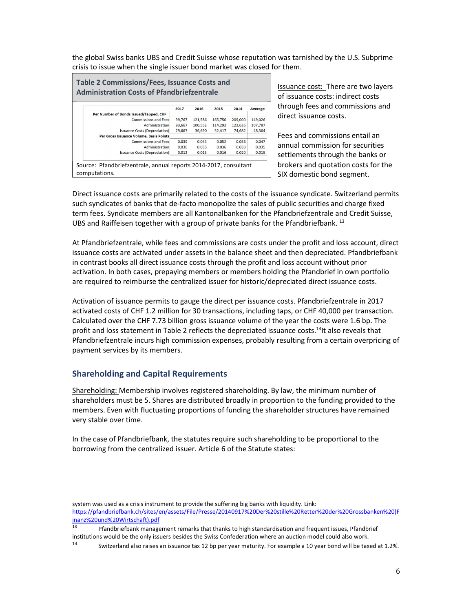the global Swiss banks UBS and Credit Suisse whose reputation was tarnished by the U.S. Subprime crisis to issue when the single issuer bond market was closed for them.

| Table 2 Commissions/Fees, Issuance Costs and<br><b>Administration Costs of Pfandbriefzentrale</b> |        |         |         |         |         |
|---------------------------------------------------------------------------------------------------|--------|---------|---------|---------|---------|
|                                                                                                   | 2017   | 2016    | 2015    | 2014    | Average |
| Per Number of Bonds Issued/Tapped, CHF                                                            |        |         |         |         |         |
| Commissions and Fees                                                                              | 99,767 | 121,586 | 165,750 | 209,000 | 149,026 |
| Administration                                                                                    | 93,667 | 100,552 | 114,292 | 122,636 | 107,787 |
| Issuance Costs (Depreciation)                                                                     | 29.667 | 36,690  | 52,417  | 74.682  | 48,364  |
| Per Gross Issuance Volume, Basis Points                                                           |        |         |         |         |         |
| <b>Commissions and Fees</b>                                                                       | 0.039  | 0.043   | 0.052   | 0.056   | 0.047   |
| Administration                                                                                    | 0.036  | 0.035   | 0.036   | 0.033   | 0.035   |
| Issuance Costs (Depreciation)                                                                     | 0.012  | 0.013   | 0.016   | 0.020   | 0.015   |
|                                                                                                   |        |         |         |         |         |
| Source: Pfandbriefzentrale, annual reports 2014-2017, consultant                                  |        |         |         |         |         |
| computations.                                                                                     |        |         |         |         |         |

Issuance cost: There are two layers of issuance costs: indirect costs through fees and commissions and direct issuance costs.

Fees and commissions entail an annual commission for securities settlements through the banks or brokers and quotation costs for the SIX domestic bond segment.

Direct issuance costs are primarily related to the costs of the issuance syndicate. Switzerland permits such syndicates of banks that de-facto monopolize the sales of public securities and charge fixed term fees. Syndicate members are all Kantonalbanken for the Pfandbriefzentrale and Credit Suisse, UBS and Raiffeisen together with a group of private banks for the Pfandbriefbank.  $^{13}$ 

At Pfandbriefzentrale, while fees and commissions are costs under the profit and loss account, direct issuance costs are activated under assets in the balance sheet and then depreciated. Pfandbriefbank in contrast books all direct issuance costs through the profit and loss account without prior activation. In both cases, prepaying members or members holding the Pfandbrief in own portfolio are required to reimburse the centralized issuer for historic/depreciated direct issuance costs.

Activation of issuance permits to gauge the direct per issuance costs. Pfandbriefzentrale in 2017 activated costs of CHF 1.2 million for 30 transactions, including taps, or CHF 40,000 per transaction. Calculated over the CHF 7.73 billion gross issuance volume of the year the costs were 1.6 bp. The profit and loss statement in Table 2 reflects the depreciated issuance costs.<sup>14</sup>It also reveals that Pfandbriefzentrale incurs high commission expenses, probably resulting from a certain overpricing of payment services by its members.

### Shareholding and Capital Requirements

Shareholding: Membership involves registered shareholding. By law, the minimum number of shareholders must be 5. Shares are distributed broadly in proportion to the funding provided to the members. Even with fluctuating proportions of funding the shareholder structures have remained very stable over time.

In the case of Pfandbriefbank, the statutes require such shareholding to be proportional to the borrowing from the centralized issuer. Article 6 of the Statute states:

system was used as a crisis instrument to provide the suffering big banks with liquidity. Link: https://pfandbriefbank.ch/sites/en/assets/File/Presse/20140917%20Der%20stille%20Retter%20der%20Grossbanken%20(F inanz%20und%20Wirtschaft).pdf

<sup>13</sup>Pfandbriefbank management remarks that thanks to high standardisation and frequent issues, Pfandbrief institutions would be the only issuers besides the Swiss Confederation where an auction model could also work.

<sup>14</sup> Switzerland also raises an issuance tax 12 bp per year maturity. For example a 10 year bond will be taxed at 1.2%.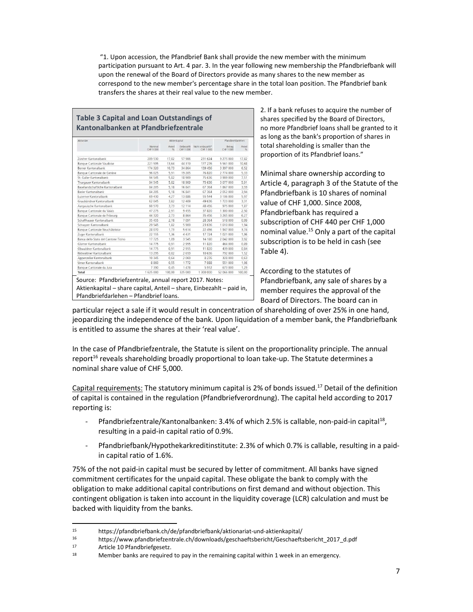"1. Upon accession, the Pfandbrief Bank shall provide the new member with the minimum participation pursuant to Art. 4 par. 3. In the year following new membership the Pfandbriefbank will upon the renewal of the Board of Directors provide as many shares to the new member as correspond to the new member's percentage share in the total loan position. The Pfandbrief bank transfers the shares at their real value to the new member.

### Table 3 Capital and Loan Outstandings of Kantonalbanken at Pfandbriefzentrale

| Aktionare                            |                      | Aktienkapital |                         |                                | Pfandbriefdarlehen  |             |
|--------------------------------------|----------------------|---------------|-------------------------|--------------------------------|---------------------|-------------|
|                                      | Nominal<br>CHF 1 000 | Anteil<br>%   | Einbezahlt<br>CHF 1 000 | Nicht einbezahlt*<br>CHF 1 000 | Betrag<br>CHF 1 000 | Anteil<br>% |
| Zürcher Kantonalbank                 | 289 530              | 17,82         | 57 906                  | 231 624                        | 9 275 000           | 17,82       |
| <b>Bangue Cantonale Vaudoise</b>     | 221 595              | 13.64         | 44 319                  | 177 276                        | 5 561 000           | 10.68       |
| Berner Kantonalbank                  | 174 320              | 10.73         | 34 864                  | 139 456                        | 3 397 000           | 6.52        |
| Banque Cantonale de Genève           | 96 025               | 5.91          | 19 20 5                 | 76 820                         | 2 774 000           | 5,33        |
| St. Galler Kantonalbank              | 94 545               | 5.82          | 18 909                  | 75 636                         | 3 909 000           | 7.51        |
| Thurgauer Kantonalbank               | 94 5 45              | 5.82          | 18 909                  | 75 636                         | 3 077 000           | 5.91        |
| Basellandschaftliche Kantonalbank    | 84 205               | 5,18          | 16841                   | 67 364                         | 1867000             | 3,59        |
| Basler Kantonalbank                  | 84 205               | 5.18          | 16 841                  | 67 364                         | 2 052 000           | 3.94        |
| Luzerner Kantonalbank                | 69 430               | 4.27          | 13.886                  | 55 544                         | 3 106 000           | 5.97        |
| Graubündner Kantonalbank             | 62 045               | 3,82          | 12 409                  | 49 636                         | 1723 000            | 3,31        |
| Aargauische Kantonalbank             | 60 570               | 3,73          | 12 114                  | 48 45 6                        | 975 000             | 1,87        |
| Banque Cantonale du Valais           | 47 275               | 2,91          | 9 4 5 5                 | 37 820                         | 1 300 000           | 2,50        |
| Banque Cantonale de Fribourg         | 44 320               | 2,73          | 8.864                   | 35 4 56                        | 3 2 6 5 0 0 0       | 6,27        |
| Schaffhauser Kantonalbank            | 35 455               | 2.18          | 7 0 9 1                 | 28 364                         | 518 000             | 0.99        |
| Schwyzer Kantonalbank                | 29 545               | 1.82          | 5 9 0 9                 | 23 6 36                        | 1010000             | 1.94        |
| Banque Cantonale Neuchâteloise       | 28 070               | 1.73          | 5614                    | 22 45 6                        | 1947000             | 3.74        |
| Zuger Kantonalbank                   | 22 155               | 1,36          | 4 4 3 1                 | 17 724                         | 1 021 000           | 1,96        |
| Banca dello Stato del Cantone Ticino | 17725                | 1.09          | 3 5 4 5                 | 14 180                         | 2 042 000           | 3,92        |
| Glarner Kantonalbank                 | 14775                | 0.91          | 2955                    | 11 820                         | 464 000             | 0,89        |
| Obwaldner Kantonalbank               | 14775                | 0.91          | 2 9 5 5                 | 11 820                         | 439 000             | 0.84        |
| Nidwaldner Kantonalbank              | 13 2 9 5             | 0.82          | 2659                    | 10 636                         | 792 000             | 1.52        |
| Appenzeller Kantonalbank             | 10 345               | 0.64          | 2069                    | 8 2 7 6                        | 328 000             | 0,63        |
| Urner Kantonalbank                   | 8860                 | 0.55          | 1772                    | 7088                           | 551 000             | 1,06        |
| Banque Cantonale du Jura             | 7 3 9 0              | 0.45          | 1478                    | 5912                           | 673 000             | 1,29        |
| Total                                | 1 625 000            | 100.00        | 325 000                 | 1 300 000                      | 52 066 000          | 100,00      |

2. If a bank refuses to acquire the number of shares specified by the Board of Directors, no more Pfandbrief loans shall be granted to it as long as the bank's proportion of shares in total shareholding is smaller than the proportion of its Pfandbrief loans."

Minimal share ownership according to Article 4, paragraph 3 of the Statute of the Pfandbriefbank is 10 shares of nominal value of CHF 1,000. Since 2008, Pfandbriefbank has required a subscription of CHF 440 per CHF 1,000 nominal value.<sup>15</sup> Only a part of the capital subscription is to be held in cash (see Table 4).

According to the statutes of Pfandbriefbank, any sale of shares by a member requires the approval of the Board of Directors. The board can in

particular reject a sale if it would result in concentration of shareholding of over 25% in one hand, jeopardizing the independence of the bank. Upon liquidation of a member bank, the Pfandbriefbank is entitled to assume the shares at their 'real value'.

In the case of Pfandbriefzentrale, the Statute is silent on the proportionality principle. The annual report<sup>16</sup> reveals shareholding broadly proportional to loan take-up. The Statute determines a nominal share value of CHF 5,000.

Capital requirements: The statutory minimum capital is 2% of bonds issued.<sup>17</sup> Detail of the definition of capital is contained in the regulation (Pfandbriefverordnung). The capital held according to 2017 reporting is:

- Pfandbriefzentrale/Kantonalbanken: 3.4% of which 2.5% is callable, non-paid-in capital<sup>18</sup>, resulting in a paid-in capital ratio of 0.9%.
- Pfandbriefbank/Hypothekarkreditinstitute: 2.3% of which 0.7% is callable, resulting in a paidin capital ratio of 1.6%.

75% of the not paid-in capital must be secured by letter of commitment. All banks have signed commitment certificates for the unpaid capital. These obligate the bank to comply with the obligation to make additional capital contributions on first demand and without objection. This contingent obligation is taken into account in the liquidity coverage (LCR) calculation and must be backed with liquidity from the banks.

<sup>15</sup> https://pfandbriefbank.ch/de/pfandbriefbank/aktionariat-und-aktienkapital/

<sup>16</sup> https://www.pfandbriefzentrale.ch/downloads/geschaeftsbericht/Geschaeftsbericht\_2017\_d.pdf

<sup>17</sup> Article 10 Pfandbriefgesetz.

<sup>&</sup>lt;sup>18</sup> Member banks are required to pay in the remaining capital within 1 week in an emergency.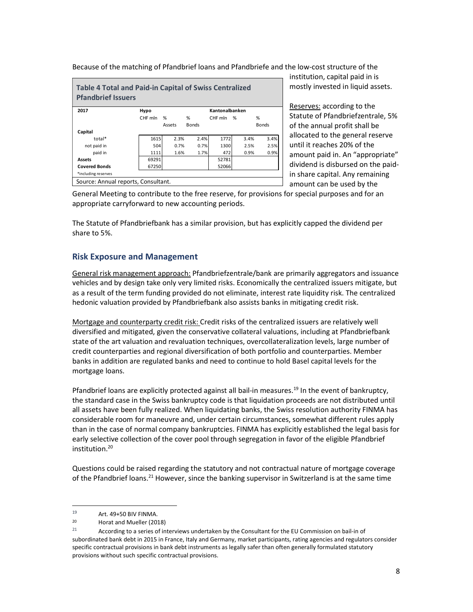|                                                        |                                     | Because of the matching of Pfandbrief loans and Pfandbriefe and the low-cost structure of the |
|--------------------------------------------------------|-------------------------------------|-----------------------------------------------------------------------------------------------|
|                                                        |                                     |                                                                                               |
|                                                        |                                     |                                                                                               |
|                                                        |                                     | <b>Table 4 Total and Paid-in Capital of Swiss Centralized</b>                                 |
|                                                        |                                     |                                                                                               |
|                                                        |                                     |                                                                                               |
|                                                        | Hypo<br>CHF mln %<br>%              | Kantonalbanken<br>%<br>CHF mln %                                                              |
|                                                        | Assets<br><b>Bonds</b>              | Bonds                                                                                         |
|                                                        |                                     |                                                                                               |
| total*                                                 | 1615<br>2.3%<br>504<br>0.7%         | 2.4%<br>3.4%<br>3.4%<br>1772<br>2.5%<br>0.7%<br>2.5%<br>1300                                  |
| not paid in<br>paid in                                 | 1111<br>1.6%                        | 472<br>0.9%<br>0.9%<br>1.7%                                                                   |
| <b>Pfandbrief Issuers</b><br>2017<br>Capital<br>Assets | 69291                               | 52781                                                                                         |
|                                                        | 67250                               | 52066                                                                                         |
| <b>Covered Bonds</b><br>*including reserves            | Source: Annual reports, Consultant. |                                                                                               |

The Statute of Pfandbriefbank has a similar provision, but has explicitly capped the dividend per share to 5%.

### Risk Exposure and Management

General risk management approach: Pfandbriefzentrale/bank are primarily aggregators and issuance vehicles and by design take only very limited risks. Economically the centralized issuers mitigate, but as a result of the term funding provided do not eliminate, interest rate liquidity risk. The centralized hedonic valuation provided by Pfandbriefbank also assists banks in mitigating credit risk.

Mortgage and counterparty credit risk: Credit risks of the centralized issuers are relatively well diversified and mitigated, given the conservative collateral valuations, including at Pfandbriefbank state of the art valuation and revaluation techniques, overcollateralization levels, large number of credit counterparties and regional diversification of both portfolio and counterparties. Member banks in addition are regulated banks and need to continue to hold Basel capital levels for the mortgage loans.

Pfandbrief loans are explicitly protected against all bail-in measures.<sup>19</sup> In the event of bankruptcy, the standard case in the Swiss bankruptcy code is that liquidation proceeds are not distributed until all assets have been fully realized. When liquidating banks, the Swiss resolution authority FINMA has considerable room for maneuvre and, under certain circumstances, somewhat different rules apply than in the case of normal company bankruptcies. FINMA has explicitly established the legal basis for early selective collection of the cover pool through segregation in favor of the eligible Pfandbrief institution.<sup>20</sup>

Questions could be raised regarding the statutory and not contractual nature of mortgage coverage of the Pfandbrief loans.<sup>21</sup> However, since the banking supervisor in Switzerland is at the same time

<sup>19</sup>  $Art. 49+50 BIV FINMA.$ 

<sup>20</sup> Horat and Mueller (2018)

<sup>21</sup> According to a series of interviews undertaken by the Consultant for the EU Commission on bail-in of subordinated bank debt in 2015 in France, Italy and Germany, market participants, rating agencies and regulators consider specific contractual provisions in bank debt instruments as legally safer than often generally formulated statutory provisions without such specific contractual provisions.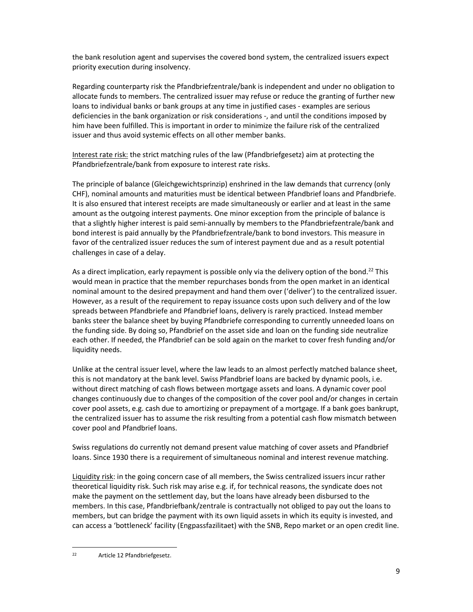the bank resolution agent and supervises the covered bond system, the centralized issuers expect priority execution during insolvency.

Regarding counterparty risk the Pfandbriefzentrale/bank is independent and under no obligation to allocate funds to members. The centralized issuer may refuse or reduce the granting of further new loans to individual banks or bank groups at any time in justified cases - examples are serious deficiencies in the bank organization or risk considerations -, and until the conditions imposed by him have been fulfilled. This is important in order to minimize the failure risk of the centralized issuer and thus avoid systemic effects on all other member banks.

Interest rate risk: the strict matching rules of the law (Pfandbriefgesetz) aim at protecting the Pfandbriefzentrale/bank from exposure to interest rate risks.

The principle of balance (Gleichgewichtsprinzip) enshrined in the law demands that currency (only CHF), nominal amounts and maturities must be identical between Pfandbrief loans and Pfandbriefe. It is also ensured that interest receipts are made simultaneously or earlier and at least in the same amount as the outgoing interest payments. One minor exception from the principle of balance is that a slightly higher interest is paid semi-annually by members to the Pfandbriefzentrale/bank and bond interest is paid annually by the Pfandbriefzentrale/bank to bond investors. This measure in favor of the centralized issuer reduces the sum of interest payment due and as a result potential challenges in case of a delay.

As a direct implication, early repayment is possible only via the delivery option of the bond.<sup>22</sup> This would mean in practice that the member repurchases bonds from the open market in an identical nominal amount to the desired prepayment and hand them over ('deliver') to the centralized issuer. However, as a result of the requirement to repay issuance costs upon such delivery and of the low spreads between Pfandbriefe and Pfandbrief loans, delivery is rarely practiced. Instead member banks steer the balance sheet by buying Pfandbriefe corresponding to currently unneeded loans on the funding side. By doing so, Pfandbrief on the asset side and loan on the funding side neutralize each other. If needed, the Pfandbrief can be sold again on the market to cover fresh funding and/or liquidity needs.

Unlike at the central issuer level, where the law leads to an almost perfectly matched balance sheet, this is not mandatory at the bank level. Swiss Pfandbrief loans are backed by dynamic pools, i.e. without direct matching of cash flows between mortgage assets and loans. A dynamic cover pool changes continuously due to changes of the composition of the cover pool and/or changes in certain cover pool assets, e.g. cash due to amortizing or prepayment of a mortgage. If a bank goes bankrupt, the centralized issuer has to assume the risk resulting from a potential cash flow mismatch between cover pool and Pfandbrief loans.

Swiss regulations do currently not demand present value matching of cover assets and Pfandbrief loans. Since 1930 there is a requirement of simultaneous nominal and interest revenue matching.

Liquidity risk: in the going concern case of all members, the Swiss centralized issuers incur rather theoretical liquidity risk. Such risk may arise e.g. if, for technical reasons, the syndicate does not make the payment on the settlement day, but the loans have already been disbursed to the members. In this case, Pfandbriefbank/zentrale is contractually not obliged to pay out the loans to members, but can bridge the payment with its own liquid assets in which its equity is invested, and can access a 'bottleneck' facility (Engpassfazilitaet) with the SNB, Repo market or an open credit line.

<sup>22</sup> Article 12 Pfandbriefgesetz.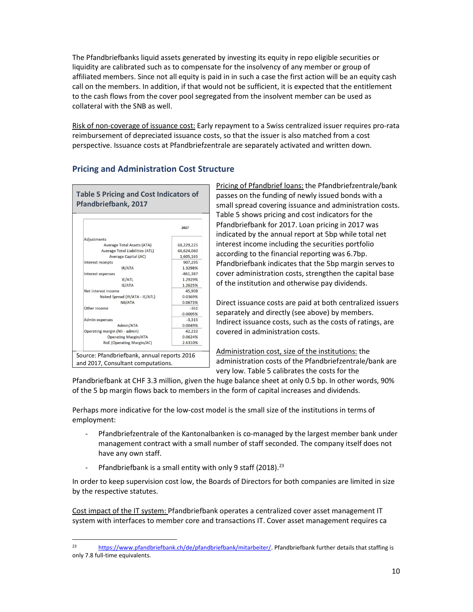The Pfandbriefbanks liquid assets generated by investing its equity in repo eligible securities or liquidity are calibrated such as to compensate for the insolvency of any member or group of affiliated members. Since not all equity is paid in in such a case the first action will be an equity cash call on the members. In addition, if that would not be sufficient, it is expected that the entitlement to the cash flows from the cover pool segregated from the insolvent member can be used as collateral with the SNB as well.

Risk of non-coverage of issuance cost: Early repayment to a Swiss centralized issuer requires pro-rata reimbursement of depreciated issuance costs, so that the issuer is also matched from a cost perspective. Issuance costs at Pfandbriefzentrale are separately activated and written down.

### Pricing and Administration Cost Structure

Table 5 Pricing and Cost Indicators of Pfandbriefbank, 2017



Pricing of Pfandbrief loans: the Pfandbriefzentrale/bank passes on the funding of newly issued bonds with a small spread covering issuance and administration costs. Table 5 shows pricing and cost indicators for the Pfandbriefbank for 2017. Loan pricing in 2017 was indicated by the annual report at 5bp while total net interest income including the securities portfolio according to the financial reporting was 6.7bp. Pfandbriefbank indicates that the 5bp margin serves to cover administration costs, strengthen the capital base of the institution and otherwise pay dividends.

Direct issuance costs are paid at both centralized issuers separately and directly (see above) by members. Indirect issuance costs, such as the costs of ratings, are covered in administration costs.

Administration cost, size of the institutions: the administration costs of the Pfandbriefzentrale/bank are very low. Table 5 calibrates the costs for the

Pfandbriefbank at CHF 3.3 million, given the huge balance sheet at only 0.5 bp. In other words, 90% of the 5 bp margin flows back to members in the form of capital increases and dividends.

Perhaps more indicative for the low-cost model is the small size of the institutions in terms of employment:

- Pfandbriefzentrale of the Kantonalbanken is co-managed by the largest member bank under management contract with a small number of staff seconded. The company itself does not have any own staff.
- Pfandbriefbank is a small entity with only 9 staff (2018).<sup>23</sup>

In order to keep supervision cost low, the Boards of Directors for both companies are limited in size by the respective statutes.

Cost impact of the IT system: Pfandbriefbank operates a centralized cover asset management IT system with interfaces to member core and transactions IT. Cover asset management requires ca

<sup>23</sup> https://www.pfandbriefbank.ch/de/pfandbriefbank/mitarbeiter/. Pfandbriefbank further details that staffing is only 7.8 full-time equivalents.